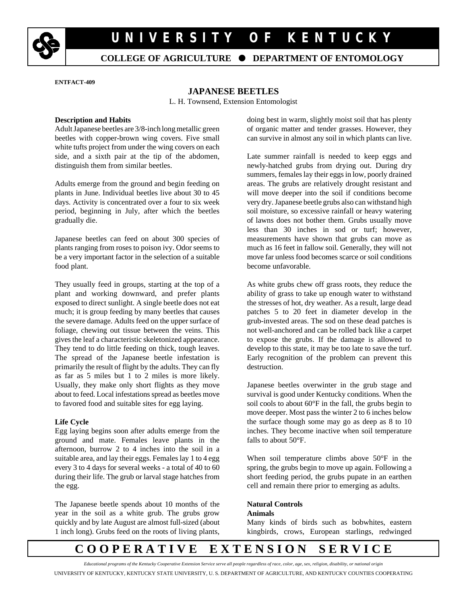

# **U N I V E R S I T Y O F K E N T U C K Y**

### **COLLEGE OF AGRICULTURE** é **DEPARTMENT OF ENTOMOLOGY**

**ENTFACT-409** 

#### **JAPANESE BEETLES**

L. H. Townsend, Extension Entomologist

#### **Description and Habits**

Adult Japanese beetles are 3/8-inch long metallic green beetles with copper-brown wing covers. Five small white tufts project from under the wing covers on each side, and a sixth pair at the tip of the abdomen, distinguish them from similar beetles.

Adults emerge from the ground and begin feeding on plants in June. Individual beetles live about 30 to 45 days. Activity is concentrated over a four to six week period, beginning in July, after which the beetles gradually die.

Japanese beetles can feed on about 300 species of plants ranging from roses to poison ivy. Odor seems to be a very important factor in the selection of a suitable food plant.

They usually feed in groups, starting at the top of a plant and working downward, and prefer plants exposed to direct sunlight. A single beetle does not eat much; it is group feeding by many beetles that causes the severe damage. Adults feed on the upper surface of foliage, chewing out tissue between the veins. This gives the leaf a characteristic skeletonized appearance. They tend to do little feeding on thick, tough leaves. The spread of the Japanese beetle infestation is primarily the result of flight by the adults. They can fly as far as 5 miles but 1 to 2 miles is more likely. Usually, they make only short flights as they move about to feed. Local infestations spread as beetles move to favored food and suitable sites for egg laying.

#### **Life Cycle**

Egg laying begins soon after adults emerge from the ground and mate. Females leave plants in the afternoon, burrow 2 to 4 inches into the soil in a suitable area, and lay their eggs. Females lay 1 to 4 egg every 3 to 4 days for several weeks - a total of 40 to 60 during their life. The grub or larval stage hatches from the egg.

The Japanese beetle spends about 10 months of the year in the soil as a white grub. The grubs grow quickly and by late August are almost full-sized (about 1 inch long). Grubs feed on the roots of living plants, doing best in warm, slightly moist soil that has plenty of organic matter and tender grasses. However, they can survive in almost any soil in which plants can live.

Late summer rainfall is needed to keep eggs and newly-hatched grubs from drying out. During dry summers, females lay their eggs in low, poorly drained areas. The grubs are relatively drought resistant and will move deeper into the soil if conditions become very dry. Japanese beetle grubs also can withstand high soil moisture, so excessive rainfall or heavy watering of lawns does not bother them. Grubs usually move less than 30 inches in sod or turf; however, measurements have shown that grubs can move as much as 16 feet in fallow soil. Generally, they will not move far unless food becomes scarce or soil conditions become unfavorable.

As white grubs chew off grass roots, they reduce the ability of grass to take up enough water to withstand the stresses of hot, dry weather. As a result, large dead patches 5 to 20 feet in diameter develop in the grub-invested areas. The sod on these dead patches is not well-anchored and can be rolled back like a carpet to expose the grubs. If the damage is allowed to develop to this state, it may be too late to save the turf. Early recognition of the problem can prevent this destruction.

Japanese beetles overwinter in the grub stage and survival is good under Kentucky conditions. When the soil cools to about 60°F in the fall, the grubs begin to move deeper. Most pass the winter 2 to 6 inches below the surface though some may go as deep as 8 to 10 inches. They become inactive when soil temperature falls to about 50°F.

When soil temperature climbs above 50°F in the spring, the grubs begin to move up again. Following a short feeding period, the grubs pupate in an earthen cell and remain there prior to emerging as adults.

#### **Natural Controls Animals**

Many kinds of birds such as bobwhites, eastern kingbirds, crows, European starlings, redwinged

## **C O O P E R A T I V E E X T E N S I O N S E R V I C E**

*Educational programs of the Kentucky Cooperative Extension Service serve all people regardless of race, color, age, sex, religion, disability, or national origin* UNIVERSITY OF KENTUCKY, KENTUCKY STATE UNIVERSITY, U. S. DEPARTMENT OF AGRICULTURE, AND KENTUCKY COUNTIES COOPERATING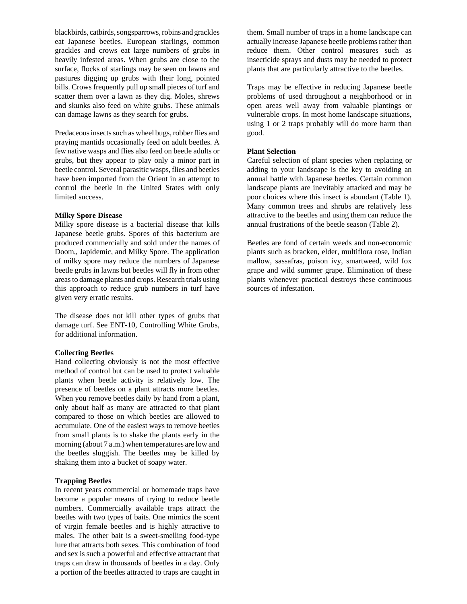blackbirds, catbirds, songsparrows, robins and grackles eat Japanese beetles. European starlings, common grackles and crows eat large numbers of grubs in heavily infested areas. When grubs are close to the surface, flocks of starlings may be seen on lawns and pastures digging up grubs with their long, pointed bills. Crows frequently pull up small pieces of turf and scatter them over a lawn as they dig. Moles, shrews and skunks also feed on white grubs. These animals can damage lawns as they search for grubs.

Predaceous insects such as wheel bugs, robber flies and praying mantids occasionally feed on adult beetles. A few native wasps and flies also feed on beetle adults or grubs, but they appear to play only a minor part in beetle control. Several parasitic wasps, flies and beetles have been imported from the Orient in an attempt to control the beetle in the United States with only limited success.

#### **Milky Spore Disease**

Milky spore disease is a bacterial disease that kills Japanese beetle grubs. Spores of this bacterium are produced commercially and sold under the names of Doom,, Japidemic, and Milky Spore. The application of milky spore may reduce the numbers of Japanese beetle grubs in lawns but beetles will fly in from other areas to damage plants and crops. Research trials using this approach to reduce grub numbers in turf have given very erratic results.

The disease does not kill other types of grubs that damage turf. See ENT-10, Controlling White Grubs, for additional information.

#### **Collecting Beetles**

Hand collecting obviously is not the most effective method of control but can be used to protect valuable plants when beetle activity is relatively low. The presence of beetles on a plant attracts more beetles. When you remove beetles daily by hand from a plant, only about half as many are attracted to that plant compared to those on which beetles are allowed to accumulate. One of the easiest ways to remove beetles from small plants is to shake the plants early in the morning (about 7 a.m.) when temperatures are low and the beetles sluggish. The beetles may be killed by shaking them into a bucket of soapy water.

#### **Trapping Beetles**

In recent years commercial or homemade traps have become a popular means of trying to reduce beetle numbers. Commercially available traps attract the beetles with two types of baits. One mimics the scent of virgin female beetles and is highly attractive to males. The other bait is a sweet-smelling food-type lure that attracts both sexes. This combination of food and sex is such a powerful and effective attractant that traps can draw in thousands of beetles in a day. Only a portion of the beetles attracted to traps are caught in them. Small number of traps in a home landscape can actually increase Japanese beetle problems rather than reduce them. Other control measures such as insecticide sprays and dusts may be needed to protect plants that are particularly attractive to the beetles.

Traps may be effective in reducing Japanese beetle problems of used throughout a neighborhood or in open areas well away from valuable plantings or vulnerable crops. In most home landscape situations, using 1 or 2 traps probably will do more harm than good.

#### **Plant Selection**

Careful selection of plant species when replacing or adding to your landscape is the key to avoiding an annual battle with Japanese beetles. Certain common landscape plants are inevitably attacked and may be poor choices where this insect is abundant (Table 1). Many common trees and shrubs are relatively less attractive to the beetles and using them can reduce the annual frustrations of the beetle season (Table 2).

Beetles are fond of certain weeds and non-economic plants such as bracken, elder, multiflora rose, Indian mallow, sassafras, poison ivy, smartweed, wild fox grape and wild summer grape. Elimination of these plants whenever practical destroys these continuous sources of infestation.